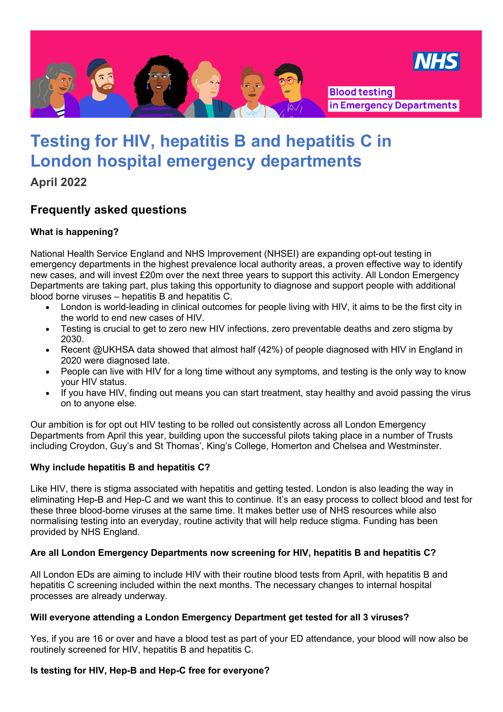

# **Testing for HIV, hepatitis B and hepatitis C in London hospital emergency departments**

**April 2022**

# **Frequently asked questions**

# **What is happening?**

National Health Service England and NHS Improvement (NHSEI) are expanding opt-out testing in emergency departments in the highest prevalence local authority areas, a proven effective way to identify new cases, and will invest £20m over the next three years to support this activity. All London Emergency Departments are taking part, plus taking this opportunity to diagnose and support people with additional blood borne viruses – hepatitis B and hepatitis C.

- London is world-leading in clinical outcomes for people living with HIV, it aims to be the first city in the world to end new cases of HIV.
- Testing is crucial to get to zero new HIV infections, zero preventable deaths and zero stigma by 2030.
- Recent @UKHSA data showed that almost half (42%) of people diagnosed with HIV in England in 2020 were diagnosed late.
- People can live with HIV for a long time without any symptoms, and testing is the only way to know your HIV status.
- If you have HIV, finding out means you can start treatment, stay healthy and avoid passing the virus on to anyone else.

Our ambition is for opt out HIV testing to be rolled out consistently across all London Emergency Departments from April this year, building upon the successful pilots taking place in a number of Trusts including Croydon, Guy's and St Thomas', King's College, Homerton and Chelsea and Westminster.

# **Why include hepatitis B and hepatitis C?**

Like HIV, there is stigma associated with hepatitis and getting tested. London is also leading the way in eliminating Hep-B and Hep-C and we want this to continue. It's an easy process to collect blood and test for these three blood-borne viruses at the same time. It makes better use of NHS resources while also normalising testing into an everyday, routine activity that will help reduce stigma. Funding has been provided by NHS England.

# **Are all London Emergency Departments now screening for HIV, hepatitis B and hepatitis C?**

All London EDs are aiming to include HIV with their routine blood tests from April, with hepatitis B and hepatitis C screening included within the next months. The necessary changes to internal hospital processes are already underway.

#### **Will everyone attending a London Emergency Department get tested for all 3 viruses?**

Yes, if you are 16 or over and have a blood test as part of your ED attendance, your blood will now also be routinely screened for HIV, hepatitis B and hepatitis C.

# **Is testing for HIV, Hep-B and Hep-C free for everyone?**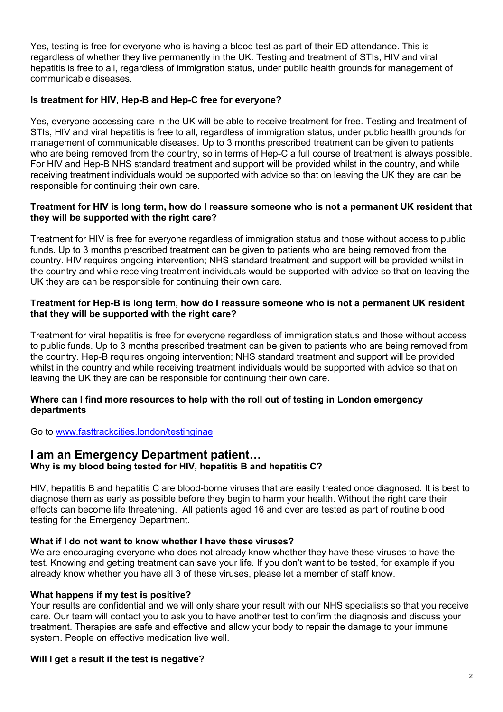Yes, testing is free for everyone who is having a blood test as part of their ED attendance. This is regardless of whether they live permanently in the UK. Testing and treatment of STIs, HIV and viral hepatitis is free to all, regardless of immigration status, under public health grounds for management of communicable diseases.

#### **Is treatment for HIV, Hep-B and Hep-C free for everyone?**

Yes, everyone accessing care in the UK will be able to receive treatment for free. Testing and treatment of STIs, HIV and viral hepatitis is free to all, regardless of immigration status, under public health grounds for management of communicable diseases. Up to 3 months prescribed treatment can be given to patients who are being removed from the country, so in terms of Hep-C a full course of treatment is always possible. For HIV and Hep-B NHS standard treatment and support will be provided whilst in the country, and while receiving treatment individuals would be supported with advice so that on leaving the UK they are can be responsible for continuing their own care.

#### **Treatment for HIV is long term, how do I reassure someone who is not a permanent UK resident that they will be supported with the right care?**

Treatment for HIV is free for everyone regardless of immigration status and those without access to public funds. Up to 3 months prescribed treatment can be given to patients who are being removed from the country. HIV requires ongoing intervention; NHS standard treatment and support will be provided whilst in the country and while receiving treatment individuals would be supported with advice so that on leaving the UK they are can be responsible for continuing their own care.

#### **Treatment for Hep-B is long term, how do I reassure someone who is not a permanent UK resident that they will be supported with the right care?**

Treatment for viral hepatitis is free for everyone regardless of immigration status and those without access to public funds. Up to 3 months prescribed treatment can be given to patients who are being removed from the country. Hep-B requires ongoing intervention; NHS standard treatment and support will be provided whilst in the country and while receiving treatment individuals would be supported with advice so that on leaving the UK they are can be responsible for continuing their own care.

#### **Where can I find more resources to help with the roll out of testing in London emergency departments**

Go to www.fasttrackcities.london/testinginae

#### **I am an Emergency Department patient… Why is my blood being tested for HIV, hepatitis B and hepatitis C?**

HIV, hepatitis B and hepatitis C are blood-borne viruses that are easily treated once diagnosed. It is best to diagnose them as early as possible before they begin to harm your health. Without the right care their effects can become life threatening. All patients aged 16 and over are tested as part of routine blood testing for the Emergency Department.

#### **What if I do not want to know whether I have these viruses?**

We are encouraging everyone who does not already know whether they have these viruses to have the test. Knowing and getting treatment can save your life. If you don't want to be tested, for example if you already know whether you have all 3 of these viruses, please let a member of staff know.

#### **What happens if my test is positive?**

Your results are confidential and we will only share your result with our NHS specialists so that you receive care. Our team will contact you to ask you to have another test to confirm the diagnosis and discuss your treatment. Therapies are safe and effective and allow your body to repair the damage to your immune system. People on effective medication live well.

#### **Will I get a result if the test is negative?**